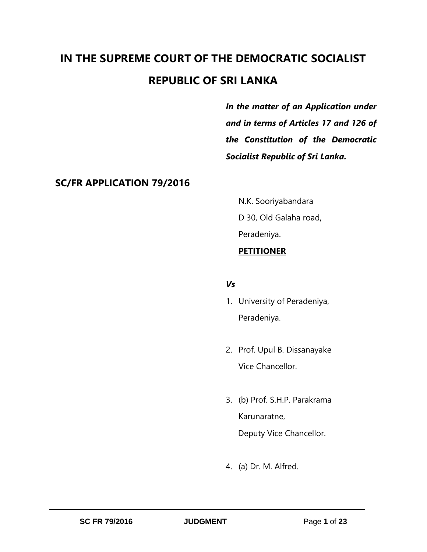# **IN THE SUPREME COURT OF THE DEMOCRATIC SOCIALIST REPUBLIC OF SRI LANKA**

*In the matter of an Application under and in terms of Articles 17 and 126 of the Constitution of the Democratic Socialist Republic of Sri Lanka.* 

### **SC/FR APPLICATION 79/2016**

N.K. Sooriyabandara D 30, Old Galaha road, Peradeniya. **PETITIONER**

### *Vs*

- 1. University of Peradeniya, Peradeniya.
- 2. Prof. Upul B. Dissanayake Vice Chancellor.
- 3. (b) Prof. S.H.P. Parakrama Karunaratne, Deputy Vice Chancellor.
- 4. (a) Dr. M. Alfred.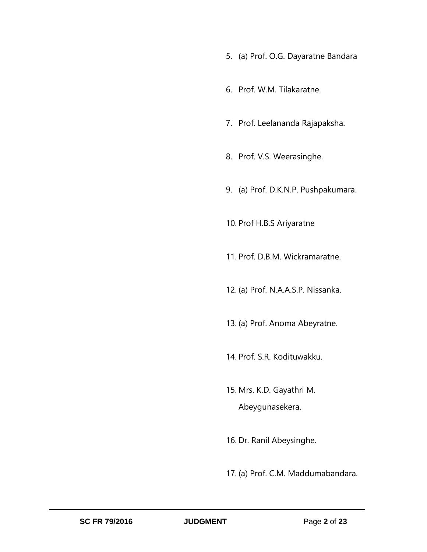- 5. (a) Prof. O.G. Dayaratne Bandara
- 6. Prof. W.M. Tilakaratne.
- 7. Prof. Leelananda Rajapaksha.
- 8. Prof. V.S. Weerasinghe.
- 9. (a) Prof. D.K.N.P. Pushpakumara.

10. Prof H.B.S Ariyaratne

- 11. Prof. D.B.M. Wickramaratne.
- 12. (a) Prof. N.A.A.S.P. Nissanka.
- 13. (a) Prof. Anoma Abeyratne.
- 14. Prof. S.R. Kodituwakku.
- 15. Mrs. K.D. Gayathri M. Abeygunasekera.
- 16. Dr. Ranil Abeysinghe.
- 17. (a) Prof. C.M. Maddumabandara.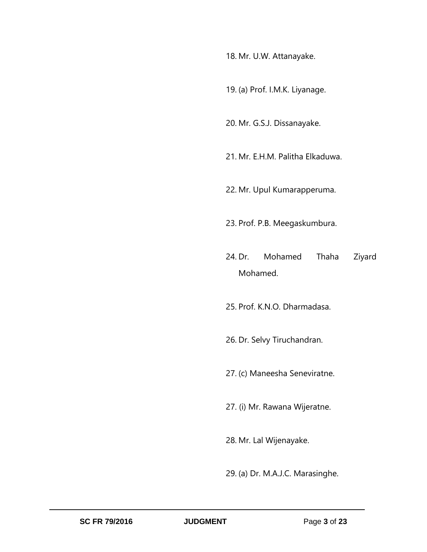18. Mr. U.W. Attanayake.

19. (a) Prof. I.M.K. Liyanage.

20. Mr. G.S.J. Dissanayake.

- 21. Mr. E.H.M. Palitha Elkaduwa.
- 22. Mr. Upul Kumarapperuma.
- 23. Prof. P.B. Meegaskumbura.
- 24. Dr. Mohamed Thaha Ziyard Mohamed.

25. Prof. K.N.O. Dharmadasa.

26. Dr. Selvy Tiruchandran.

27. (c) Maneesha Seneviratne.

27. (i) Mr. Rawana Wijeratne.

28. Mr. Lal Wijenayake.

29. (a) Dr. M.A.J.C. Marasinghe.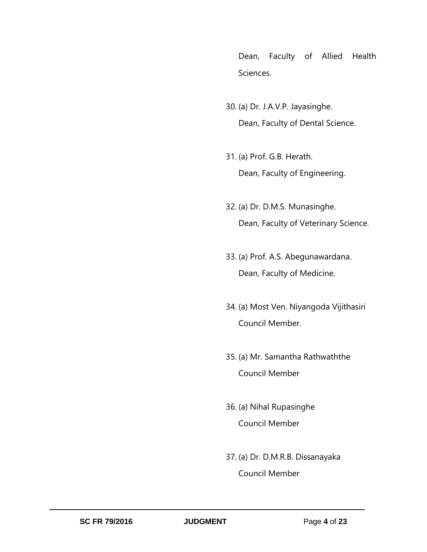Dean, Faculty of Allied Health Sciences.

- 30. (a) Dr. J.A.V.P. Jayasinghe. Dean, Faculty of Dental Science.
- 31. (a) Prof. G.B. Herath. Dean, Faculty of Engineering.
- 32. (a) Dr. D.M.S. Munasinghe. Dean, Faculty of Veterinary Science.
- 33. (a) Prof. A.S. Abegunawardana. Dean, Faculty of Medicine.
- 34. (a) Most Ven. Niyangoda Vijithasiri Council Member.
- 35. (a) Mr. Samantha Rathwaththe Council Member
- 36. (a) Nihal Rupasinghe Council Member
- 37. (a) Dr. D.M.R.B. Dissanayaka Council Member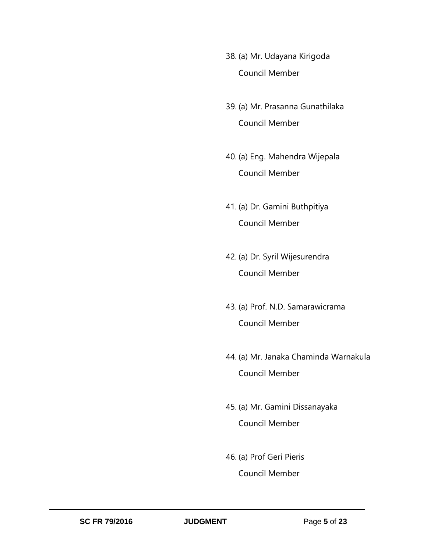- 38. (a) Mr. Udayana Kirigoda Council Member
- 39. (a) Mr. Prasanna Gunathilaka Council Member
- 40. (a) Eng. Mahendra Wijepala Council Member
- 41. (a) Dr. Gamini Buthpitiya Council Member
- 42. (a) Dr. Syril Wijesurendra Council Member
- 43. (a) Prof. N.D. Samarawicrama Council Member
- 44. (a) Mr. Janaka Chaminda Warnakula Council Member
- 45. (a) Mr. Gamini Dissanayaka Council Member
- 46. (a) Prof Geri Pieris Council Member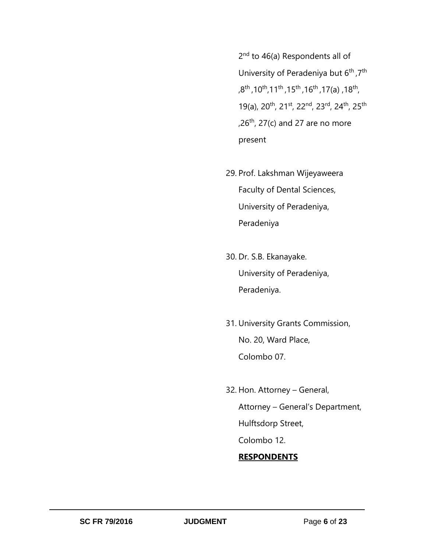2<sup>nd</sup> to 46(a) Respondents all of University of Peradeniya but 6<sup>th</sup>, 7<sup>th</sup> ,8<sup>th</sup>,10<sup>th</sup>,11<sup>th</sup>,15<sup>th</sup>,16<sup>th</sup>,17(a),18<sup>th</sup>, 19(a), 20th, 21st, 22nd, 23rd, 24th, 25th  $,26^{th}$ , 27(c) and 27 are no more present

- 29. Prof. Lakshman Wijeyaweera Faculty of Dental Sciences, University of Peradeniya, Peradeniya
- 30. Dr. S.B. Ekanayake. University of Peradeniya, Peradeniya.
- 31. University Grants Commission, No. 20, Ward Place, Colombo 07.
- 32. Hon. Attorney General, Attorney – General's Department, Hulftsdorp Street, Colombo 12.

### **RESPONDENTS**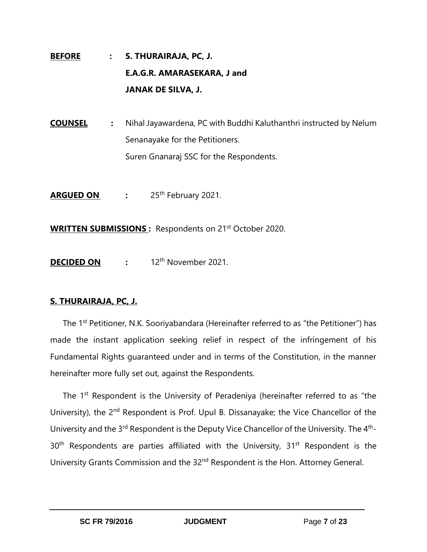## **BEFORE : S. THURAIRAJA, PC, J. E.A.G.R. AMARASEKARA, J and JANAK DE SILVA, J.**

**COUNSEL :** Nihal Jayawardena, PC with Buddhi Kaluthanthri instructed by Nelum Senanayake for the Petitioners. Suren Gnanaraj SSC for the Respondents.

**ARGUED ON :** 25th February 2021.

**WRITTEN SUBMISSIONS**: Respondents on 21<sup>st</sup> October 2020.

**DECIDED ON** : 12<sup>th</sup> November 2021.

### **S. THURAIRAJA, PC, J.**

The 1<sup>st</sup> Petitioner, N.K. Sooriyabandara (Hereinafter referred to as "the Petitioner") has made the instant application seeking relief in respect of the infringement of his Fundamental Rights guaranteed under and in terms of the Constitution, in the manner hereinafter more fully set out, against the Respondents.

The 1<sup>st</sup> Respondent is the University of Peradeniya (hereinafter referred to as "the University), the 2<sup>nd</sup> Respondent is Prof. Upul B. Dissanayake; the Vice Chancellor of the University and the 3<sup>rd</sup> Respondent is the Deputy Vice Chancellor of the University. The 4<sup>th</sup>- $30<sup>th</sup>$  Respondents are parties affiliated with the University,  $31<sup>st</sup>$  Respondent is the University Grants Commission and the 32nd Respondent is the Hon. Attorney General.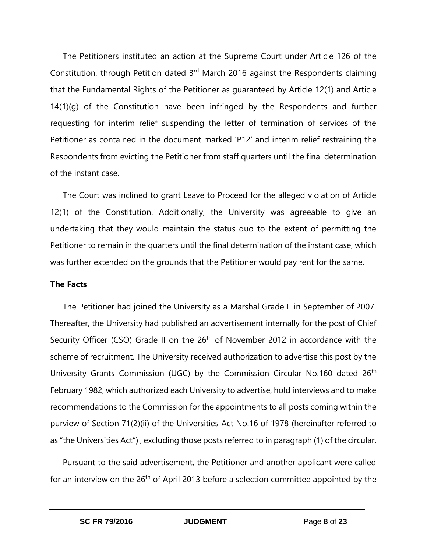The Petitioners instituted an action at the Supreme Court under Article 126 of the Constitution, through Petition dated 3<sup>rd</sup> March 2016 against the Respondents claiming that the Fundamental Rights of the Petitioner as guaranteed by Article 12(1) and Article 14(1)(g) of the Constitution have been infringed by the Respondents and further requesting for interim relief suspending the letter of termination of services of the Petitioner as contained in the document marked 'P12' and interim relief restraining the Respondents from evicting the Petitioner from staff quarters until the final determination of the instant case.

The Court was inclined to grant Leave to Proceed for the alleged violation of Article 12(1) of the Constitution. Additionally, the University was agreeable to give an undertaking that they would maintain the status quo to the extent of permitting the Petitioner to remain in the quarters until the final determination of the instant case, which was further extended on the grounds that the Petitioner would pay rent for the same.

### **The Facts**

The Petitioner had joined the University as a Marshal Grade II in September of 2007. Thereafter, the University had published an advertisement internally for the post of Chief Security Officer (CSO) Grade II on the 26<sup>th</sup> of November 2012 in accordance with the scheme of recruitment. The University received authorization to advertise this post by the University Grants Commission (UGC) by the Commission Circular No.160 dated 26<sup>th</sup> February 1982, which authorized each University to advertise, hold interviews and to make recommendations to the Commission for the appointments to all posts coming within the purview of Section 71(2)(ii) of the Universities Act No.16 of 1978 (hereinafter referred to as "the Universities Act") , excluding those posts referred to in paragraph (1) of the circular.

Pursuant to the said advertisement, the Petitioner and another applicant were called for an interview on the 26<sup>th</sup> of April 2013 before a selection committee appointed by the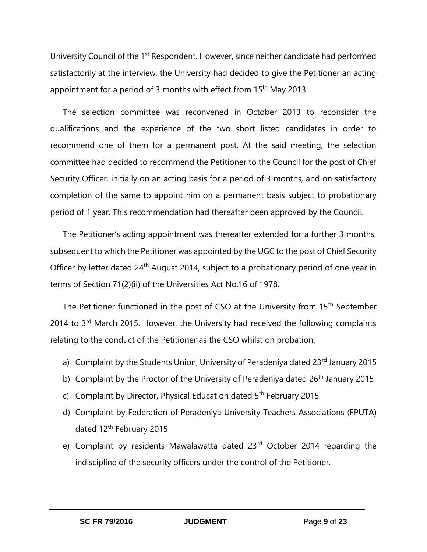University Council of the 1<sup>st</sup> Respondent. However, since neither candidate had performed satisfactorily at the interview, the University had decided to give the Petitioner an acting appointment for a period of 3 months with effect from 15<sup>th</sup> May 2013.

The selection committee was reconvened in October 2013 to reconsider the qualifications and the experience of the two short listed candidates in order to recommend one of them for a permanent post. At the said meeting, the selection committee had decided to recommend the Petitioner to the Council for the post of Chief Security Officer, initially on an acting basis for a period of 3 months, and on satisfactory completion of the same to appoint him on a permanent basis subject to probationary period of 1 year. This recommendation had thereafter been approved by the Council.

The Petitioner's acting appointment was thereafter extended for a further 3 months, subsequent to which the Petitioner was appointed by the UGC to the post of Chief Security Officer by letter dated 24<sup>th</sup> August 2014, subject to a probationary period of one year in terms of Section 71(2)(ii) of the Universities Act No.16 of 1978.

The Petitioner functioned in the post of CSO at the University from 15<sup>th</sup> September 2014 to 3<sup>rd</sup> March 2015. However, the University had received the following complaints relating to the conduct of the Petitioner as the CSO whilst on probation:

- a) Complaint by the Students Union, University of Peradeniya dated 23<sup>rd</sup> January 2015
- b) Complaint by the Proctor of the University of Peradeniya dated 26<sup>th</sup> January 2015
- c) Complaint by Director, Physical Education dated  $5<sup>th</sup>$  February 2015
- d) Complaint by Federation of Peradeniya University Teachers Associations (FPUTA) dated 12<sup>th</sup> February 2015
- e) Complaint by residents Mawalawatta dated 23<sup>rd</sup> October 2014 regarding the indiscipline of the security officers under the control of the Petitioner.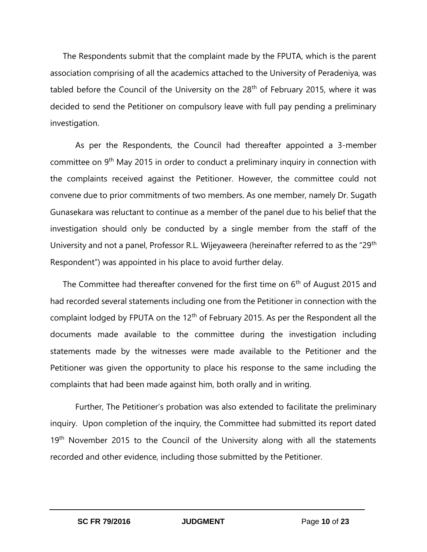The Respondents submit that the complaint made by the FPUTA, which is the parent association comprising of all the academics attached to the University of Peradeniya, was tabled before the Council of the University on the  $28<sup>th</sup>$  of February 2015, where it was decided to send the Petitioner on compulsory leave with full pay pending a preliminary investigation.

As per the Respondents, the Council had thereafter appointed a 3-member committee on 9<sup>th</sup> May 2015 in order to conduct a preliminary inquiry in connection with the complaints received against the Petitioner. However, the committee could not convene due to prior commitments of two members. As one member, namely Dr. Sugath Gunasekara was reluctant to continue as a member of the panel due to his belief that the investigation should only be conducted by a single member from the staff of the University and not a panel, Professor R.L. Wijeyaweera (hereinafter referred to as the "29<sup>th</sup> Respondent") was appointed in his place to avoid further delay.

The Committee had thereafter convened for the first time on  $6<sup>th</sup>$  of August 2015 and had recorded several statements including one from the Petitioner in connection with the complaint lodged by FPUTA on the 12<sup>th</sup> of February 2015. As per the Respondent all the documents made available to the committee during the investigation including statements made by the witnesses were made available to the Petitioner and the Petitioner was given the opportunity to place his response to the same including the complaints that had been made against him, both orally and in writing.

Further, The Petitioner's probation was also extended to facilitate the preliminary inquiry. Upon completion of the inquiry, the Committee had submitted its report dated 19<sup>th</sup> November 2015 to the Council of the University along with all the statements recorded and other evidence, including those submitted by the Petitioner.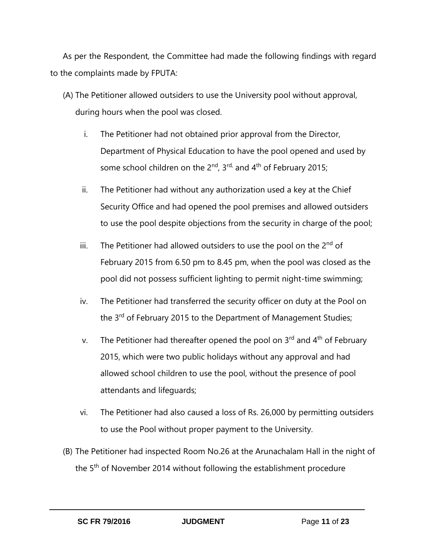As per the Respondent, the Committee had made the following findings with regard to the complaints made by FPUTA:

- (A) The Petitioner allowed outsiders to use the University pool without approval, during hours when the pool was closed.
	- i. The Petitioner had not obtained prior approval from the Director, Department of Physical Education to have the pool opened and used by some school children on the  $2^{nd}$ ,  $3^{rd}$ , and  $4^{th}$  of February 2015;
	- ii. The Petitioner had without any authorization used a key at the Chief Security Office and had opened the pool premises and allowed outsiders to use the pool despite objections from the security in charge of the pool;
	- iii. The Petitioner had allowed outsiders to use the pool on the  $2<sup>nd</sup>$  of February 2015 from 6.50 pm to 8.45 pm, when the pool was closed as the pool did not possess sufficient lighting to permit night-time swimming;
	- iv. The Petitioner had transferred the security officer on duty at the Pool on the 3<sup>rd</sup> of February 2015 to the Department of Management Studies;
	- v. The Petitioner had thereafter opened the pool on  $3^{rd}$  and  $4^{th}$  of February 2015, which were two public holidays without any approval and had allowed school children to use the pool, without the presence of pool attendants and lifeguards;
	- vi. The Petitioner had also caused a loss of Rs. 26,000 by permitting outsiders to use the Pool without proper payment to the University.
- (B) The Petitioner had inspected Room No.26 at the Arunachalam Hall in the night of the 5<sup>th</sup> of November 2014 without following the establishment procedure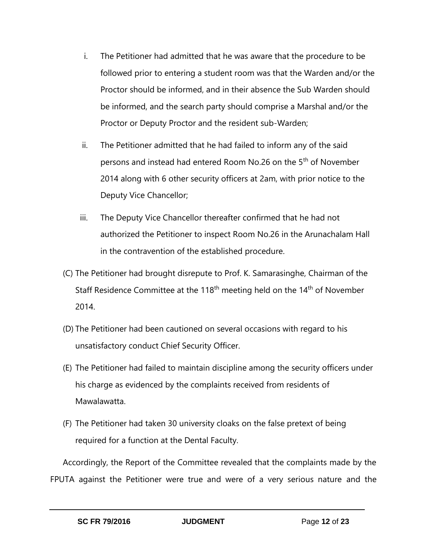- i. The Petitioner had admitted that he was aware that the procedure to be followed prior to entering a student room was that the Warden and/or the Proctor should be informed, and in their absence the Sub Warden should be informed, and the search party should comprise a Marshal and/or the Proctor or Deputy Proctor and the resident sub-Warden;
- ii. The Petitioner admitted that he had failed to inform any of the said persons and instead had entered Room No.26 on the 5<sup>th</sup> of November 2014 along with 6 other security officers at 2am, with prior notice to the Deputy Vice Chancellor;
- iii. The Deputy Vice Chancellor thereafter confirmed that he had not authorized the Petitioner to inspect Room No.26 in the Arunachalam Hall in the contravention of the established procedure.
- (C) The Petitioner had brought disrepute to Prof. K. Samarasinghe, Chairman of the Staff Residence Committee at the 118<sup>th</sup> meeting held on the 14<sup>th</sup> of November 2014.
- (D) The Petitioner had been cautioned on several occasions with regard to his unsatisfactory conduct Chief Security Officer.
- (E) The Petitioner had failed to maintain discipline among the security officers under his charge as evidenced by the complaints received from residents of Mawalawatta.
- (F) The Petitioner had taken 30 university cloaks on the false pretext of being required for a function at the Dental Faculty.

Accordingly, the Report of the Committee revealed that the complaints made by the FPUTA against the Petitioner were true and were of a very serious nature and the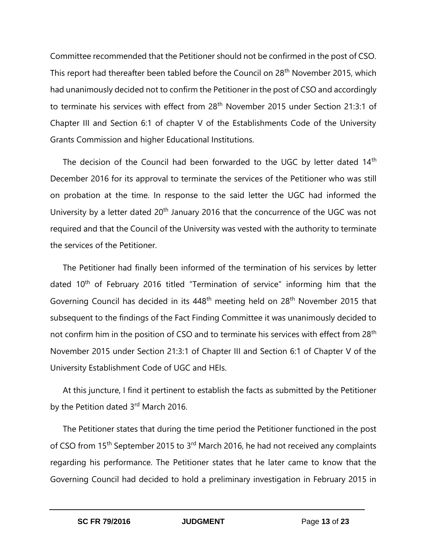Committee recommended that the Petitioner should not be confirmed in the post of CSO. This report had thereafter been tabled before the Council on 28<sup>th</sup> November 2015, which had unanimously decided not to confirm the Petitioner in the post of CSO and accordingly to terminate his services with effect from 28<sup>th</sup> November 2015 under Section 21:3:1 of Chapter III and Section 6:1 of chapter V of the Establishments Code of the University Grants Commission and higher Educational Institutions.

The decision of the Council had been forwarded to the UGC by letter dated 14<sup>th</sup> December 2016 for its approval to terminate the services of the Petitioner who was still on probation at the time. In response to the said letter the UGC had informed the University by a letter dated  $20<sup>th</sup>$  January 2016 that the concurrence of the UGC was not required and that the Council of the University was vested with the authority to terminate the services of the Petitioner.

The Petitioner had finally been informed of the termination of his services by letter dated 10<sup>th</sup> of February 2016 titled "Termination of service" informing him that the Governing Council has decided in its 448<sup>th</sup> meeting held on 28<sup>th</sup> November 2015 that subsequent to the findings of the Fact Finding Committee it was unanimously decided to not confirm him in the position of CSO and to terminate his services with effect from 28<sup>th</sup> November 2015 under Section 21:3:1 of Chapter III and Section 6:1 of Chapter V of the University Establishment Code of UGC and HEIs.

At this juncture, I find it pertinent to establish the facts as submitted by the Petitioner by the Petition dated 3rd March 2016.

The Petitioner states that during the time period the Petitioner functioned in the post of CSO from 15<sup>th</sup> September 2015 to 3<sup>rd</sup> March 2016, he had not received any complaints regarding his performance. The Petitioner states that he later came to know that the Governing Council had decided to hold a preliminary investigation in February 2015 in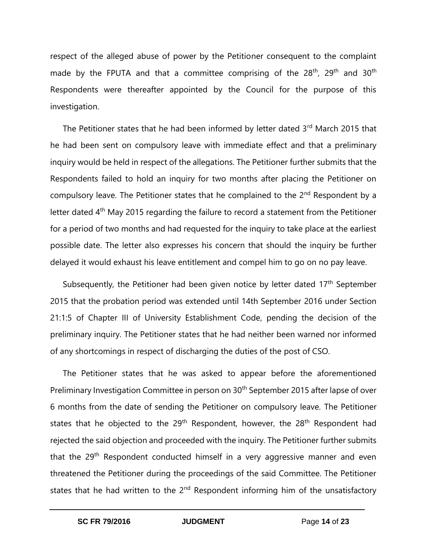respect of the alleged abuse of power by the Petitioner consequent to the complaint made by the FPUTA and that a committee comprising of the  $28<sup>th</sup>$ ,  $29<sup>th</sup>$  and  $30<sup>th</sup>$ Respondents were thereafter appointed by the Council for the purpose of this investigation.

The Petitioner states that he had been informed by letter dated 3rd March 2015 that he had been sent on compulsory leave with immediate effect and that a preliminary inquiry would be held in respect of the allegations. The Petitioner further submits that the Respondents failed to hold an inquiry for two months after placing the Petitioner on compulsory leave. The Petitioner states that he complained to the 2<sup>nd</sup> Respondent by a letter dated 4<sup>th</sup> May 2015 regarding the failure to record a statement from the Petitioner for a period of two months and had requested for the inquiry to take place at the earliest possible date. The letter also expresses his concern that should the inquiry be further delayed it would exhaust his leave entitlement and compel him to go on no pay leave.

Subsequently, the Petitioner had been given notice by letter dated 17<sup>th</sup> September 2015 that the probation period was extended until 14th September 2016 under Section 21:1:5 of Chapter III of University Establishment Code, pending the decision of the preliminary inquiry. The Petitioner states that he had neither been warned nor informed of any shortcomings in respect of discharging the duties of the post of CSO.

The Petitioner states that he was asked to appear before the aforementioned Preliminary Investigation Committee in person on 30<sup>th</sup> September 2015 after lapse of over 6 months from the date of sending the Petitioner on compulsory leave. The Petitioner states that he objected to the  $29<sup>th</sup>$  Respondent, however, the  $28<sup>th</sup>$  Respondent had rejected the said objection and proceeded with the inquiry. The Petitioner further submits that the 29<sup>th</sup> Respondent conducted himself in a very aggressive manner and even threatened the Petitioner during the proceedings of the said Committee. The Petitioner states that he had written to the 2<sup>nd</sup> Respondent informing him of the unsatisfactory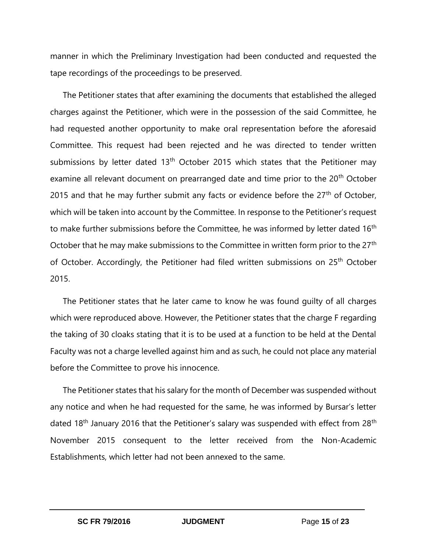manner in which the Preliminary Investigation had been conducted and requested the tape recordings of the proceedings to be preserved.

The Petitioner states that after examining the documents that established the alleged charges against the Petitioner, which were in the possession of the said Committee, he had requested another opportunity to make oral representation before the aforesaid Committee. This request had been rejected and he was directed to tender written submissions by letter dated  $13<sup>th</sup>$  October 2015 which states that the Petitioner may examine all relevant document on prearranged date and time prior to the 20<sup>th</sup> October 2015 and that he may further submit any facts or evidence before the  $27<sup>th</sup>$  of October, which will be taken into account by the Committee. In response to the Petitioner's request to make further submissions before the Committee, he was informed by letter dated 16<sup>th</sup> October that he may make submissions to the Committee in written form prior to the 27<sup>th</sup> of October. Accordingly, the Petitioner had filed written submissions on 25<sup>th</sup> October 2015.

The Petitioner states that he later came to know he was found guilty of all charges which were reproduced above. However, the Petitioner states that the charge F regarding the taking of 30 cloaks stating that it is to be used at a function to be held at the Dental Faculty was not a charge levelled against him and as such, he could not place any material before the Committee to prove his innocence.

The Petitioner states that his salary for the month of December was suspended without any notice and when he had requested for the same, he was informed by Bursar's letter dated 18<sup>th</sup> January 2016 that the Petitioner's salary was suspended with effect from 28<sup>th</sup> November 2015 consequent to the letter received from the Non-Academic Establishments, which letter had not been annexed to the same.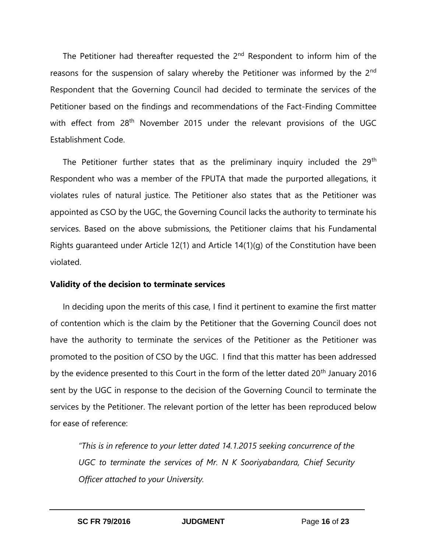The Petitioner had thereafter requested the  $2<sup>nd</sup>$  Respondent to inform him of the reasons for the suspension of salary whereby the Petitioner was informed by the 2<sup>nd</sup> Respondent that the Governing Council had decided to terminate the services of the Petitioner based on the findings and recommendations of the Fact-Finding Committee with effect from 28<sup>th</sup> November 2015 under the relevant provisions of the UGC Establishment Code.

The Petitioner further states that as the preliminary inquiry included the  $29<sup>th</sup>$ Respondent who was a member of the FPUTA that made the purported allegations, it violates rules of natural justice. The Petitioner also states that as the Petitioner was appointed as CSO by the UGC, the Governing Council lacks the authority to terminate his services. Based on the above submissions, the Petitioner claims that his Fundamental Rights guaranteed under Article 12(1) and Article 14(1)(g) of the Constitution have been violated.

### **Validity of the decision to terminate services**

In deciding upon the merits of this case, I find it pertinent to examine the first matter of contention which is the claim by the Petitioner that the Governing Council does not have the authority to terminate the services of the Petitioner as the Petitioner was promoted to the position of CSO by the UGC. I find that this matter has been addressed by the evidence presented to this Court in the form of the letter dated 20<sup>th</sup> January 2016 sent by the UGC in response to the decision of the Governing Council to terminate the services by the Petitioner. The relevant portion of the letter has been reproduced below for ease of reference:

*"This is in reference to your letter dated 14.1.2015 seeking concurrence of the UGC to terminate the services of Mr. N K Sooriyabandara, Chief Security Officer attached to your University.*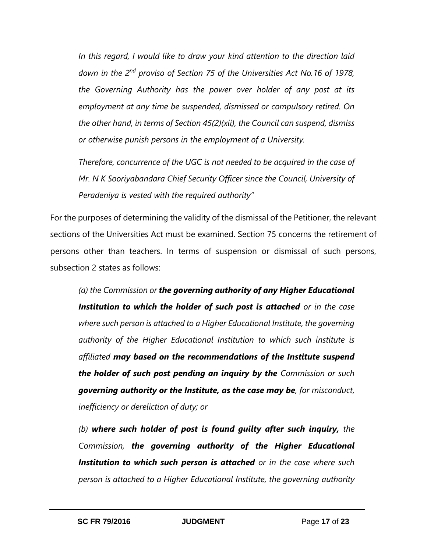*In this regard, I would like to draw your kind attention to the direction laid down in the 2nd proviso of Section 75 of the Universities Act No.16 of 1978, the Governing Authority has the power over holder of any post at its employment at any time be suspended, dismissed or compulsory retired. On the other hand, in terms of Section 45(2)(xii), the Council can suspend, dismiss or otherwise punish persons in the employment of a University.*

*Therefore, concurrence of the UGC is not needed to be acquired in the case of Mr. N K Sooriyabandara Chief Security Officer since the Council, University of Peradeniya is vested with the required authority"*

For the purposes of determining the validity of the dismissal of the Petitioner, the relevant sections of the Universities Act must be examined. Section 75 concerns the retirement of persons other than teachers. In terms of suspension or dismissal of such persons, subsection 2 states as follows:

*(a) the Commission or the governing authority of any Higher Educational Institution to which the holder of such post is attached or in the case where such person is attached to a Higher Educational Institute, the governing authority of the Higher Educational Institution to which such institute is affiliated may based on the recommendations of the Institute suspend the holder of such post pending an inquiry by the Commission or such governing authority or the Institute, as the case may be, for misconduct, inefficiency or dereliction of duty; or*

*(b) where such holder of post is found guilty after such inquiry, the Commission, the governing authority of the Higher Educational Institution to which such person is attached or in the case where such person is attached to a Higher Educational Institute, the governing authority*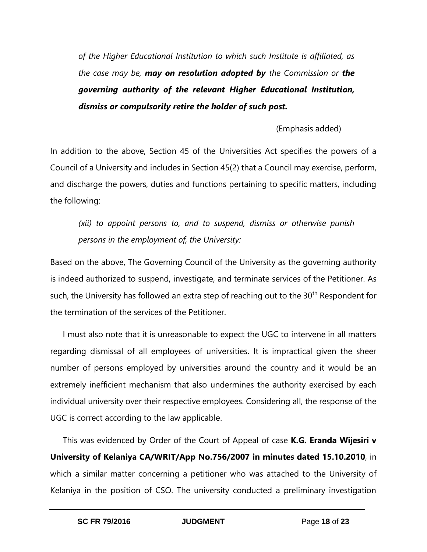*of the Higher Educational Institution to which such Institute is affiliated, as the case may be, may on resolution adopted by the Commission or the governing authority of the relevant Higher Educational Institution, dismiss or compulsorily retire the holder of such post.*

(Emphasis added)

In addition to the above, Section 45 of the Universities Act specifies the powers of a Council of a University and includes in Section 45(2) that a Council may exercise, perform, and discharge the powers, duties and functions pertaining to specific matters, including the following:

*(xii) to appoint persons to, and to suspend, dismiss or otherwise punish persons in the employment of, the University:*

Based on the above, The Governing Council of the University as the governing authority is indeed authorized to suspend, investigate, and terminate services of the Petitioner. As such, the University has followed an extra step of reaching out to the 30<sup>th</sup> Respondent for the termination of the services of the Petitioner.

I must also note that it is unreasonable to expect the UGC to intervene in all matters regarding dismissal of all employees of universities. It is impractical given the sheer number of persons employed by universities around the country and it would be an extremely inefficient mechanism that also undermines the authority exercised by each individual university over their respective employees. Considering all, the response of the UGC is correct according to the law applicable.

This was evidenced by Order of the Court of Appeal of case **K.G. Eranda Wijesiri v University of Kelaniya CA/WRIT/App No.756/2007 in minutes dated 15.10.2010**, in which a similar matter concerning a petitioner who was attached to the University of Kelaniya in the position of CSO. The university conducted a preliminary investigation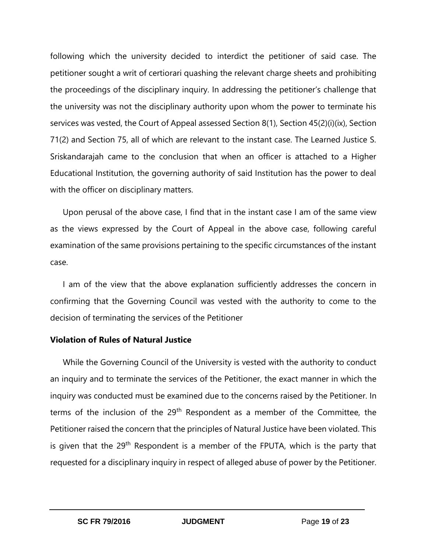following which the university decided to interdict the petitioner of said case. The petitioner sought a writ of certiorari quashing the relevant charge sheets and prohibiting the proceedings of the disciplinary inquiry. In addressing the petitioner's challenge that the university was not the disciplinary authority upon whom the power to terminate his services was vested, the Court of Appeal assessed Section 8(1), Section 45(2)(i)(ix), Section 71(2) and Section 75, all of which are relevant to the instant case. The Learned Justice S. Sriskandarajah came to the conclusion that when an officer is attached to a Higher Educational Institution, the governing authority of said Institution has the power to deal with the officer on disciplinary matters.

Upon perusal of the above case, I find that in the instant case I am of the same view as the views expressed by the Court of Appeal in the above case, following careful examination of the same provisions pertaining to the specific circumstances of the instant case.

I am of the view that the above explanation sufficiently addresses the concern in confirming that the Governing Council was vested with the authority to come to the decision of terminating the services of the Petitioner

### **Violation of Rules of Natural Justice**

While the Governing Council of the University is vested with the authority to conduct an inquiry and to terminate the services of the Petitioner, the exact manner in which the inquiry was conducted must be examined due to the concerns raised by the Petitioner. In terms of the inclusion of the 29<sup>th</sup> Respondent as a member of the Committee, the Petitioner raised the concern that the principles of Natural Justice have been violated. This is given that the 29<sup>th</sup> Respondent is a member of the FPUTA, which is the party that requested for a disciplinary inquiry in respect of alleged abuse of power by the Petitioner.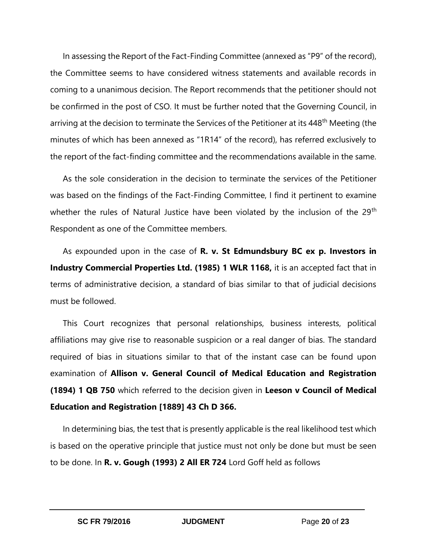In assessing the Report of the Fact-Finding Committee (annexed as "P9" of the record), the Committee seems to have considered witness statements and available records in coming to a unanimous decision. The Report recommends that the petitioner should not be confirmed in the post of CSO. It must be further noted that the Governing Council, in arriving at the decision to terminate the Services of the Petitioner at its 448<sup>th</sup> Meeting (the minutes of which has been annexed as "1R14" of the record), has referred exclusively to the report of the fact-finding committee and the recommendations available in the same.

As the sole consideration in the decision to terminate the services of the Petitioner was based on the findings of the Fact-Finding Committee, I find it pertinent to examine whether the rules of Natural Justice have been violated by the inclusion of the 29<sup>th</sup> Respondent as one of the Committee members.

As expounded upon in the case of **R. v. St Edmundsbury BC ex p. Investors in Industry Commercial Properties Ltd. (1985) 1 WLR 1168,** it is an accepted fact that in terms of administrative decision, a standard of bias similar to that of judicial decisions must be followed.

This Court recognizes that personal relationships, business interests, political affiliations may give rise to reasonable suspicion or a real danger of bias. The standard required of bias in situations similar to that of the instant case can be found upon examination of **Allison v. General Council of Medical Education and Registration (1894) 1 QB 750** which referred to the decision given in **Leeson v Council of Medical Education and Registration [1889] 43 Ch D 366.**

In determining bias, the test that is presently applicable is the real likelihood test which is based on the operative principle that justice must not only be done but must be seen to be done. In **R. v. Gough (1993) 2 All ER 724** Lord Goff held as follows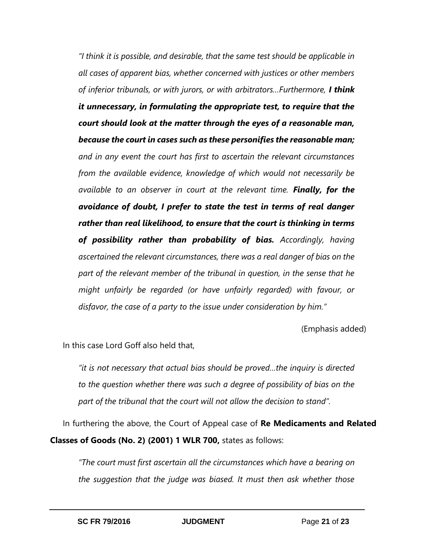*"I think it is possible, and desirable, that the same test should be applicable in all cases of apparent bias, whether concerned with justices or other members of inferior tribunals, or with jurors, or with arbitrators…Furthermore, I think it unnecessary, in formulating the appropriate test, to require that the court should look at the matter through the eyes of a reasonable man, because the court in cases such as these personifies the reasonable man; and in any event the court has first to ascertain the relevant circumstances from the available evidence, knowledge of which would not necessarily be available to an observer in court at the relevant time. Finally, for the avoidance of doubt, I prefer to state the test in terms of real danger rather than real likelihood, to ensure that the court is thinking in terms of possibility rather than probability of bias. Accordingly, having ascertained the relevant circumstances, there was a real danger of bias on the part of the relevant member of the tribunal in question, in the sense that he might unfairly be regarded (or have unfairly regarded) with favour, or disfavor, the case of a party to the issue under consideration by him."*

(Emphasis added)

In this case Lord Goff also held that,

*"it is not necessary that actual bias should be proved…the inquiry is directed to the question whether there was such a degree of possibility of bias on the part of the tribunal that the court will not allow the decision to stand".*

In furthering the above, the Court of Appeal case of **Re Medicaments and Related Classes of Goods (No. 2) (2001) 1 WLR 700,** states as follows:

*"The court must first ascertain all the circumstances which have a bearing on the suggestion that the judge was biased. It must then ask whether those*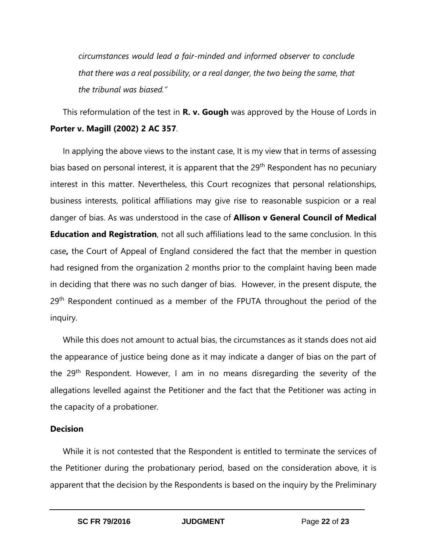*circumstances would lead a fair-minded and informed observer to conclude that there was a real possibility, or a real danger, the two being the same, that the tribunal was biased."* 

### This reformulation of the test in **R. v. Gough** was approved by the House of Lords in **Porter v. Magill (2002) 2 AC 357**.

In applying the above views to the instant case, It is my view that in terms of assessing bias based on personal interest, it is apparent that the 29<sup>th</sup> Respondent has no pecuniary interest in this matter. Nevertheless, this Court recognizes that personal relationships, business interests, political affiliations may give rise to reasonable suspicion or a real danger of bias. As was understood in the case of **Allison v General Council of Medical Education and Registration**, not all such affiliations lead to the same conclusion. In this case**,** the Court of Appeal of England considered the fact that the member in question had resigned from the organization 2 months prior to the complaint having been made in deciding that there was no such danger of bias. However, in the present dispute, the 29<sup>th</sup> Respondent continued as a member of the FPUTA throughout the period of the inquiry.

While this does not amount to actual bias, the circumstances as it stands does not aid the appearance of justice being done as it may indicate a danger of bias on the part of the 29<sup>th</sup> Respondent. However, I am in no means disregarding the severity of the allegations levelled against the Petitioner and the fact that the Petitioner was acting in the capacity of a probationer.

### **Decision**

While it is not contested that the Respondent is entitled to terminate the services of the Petitioner during the probationary period, based on the consideration above, it is apparent that the decision by the Respondents is based on the inquiry by the Preliminary